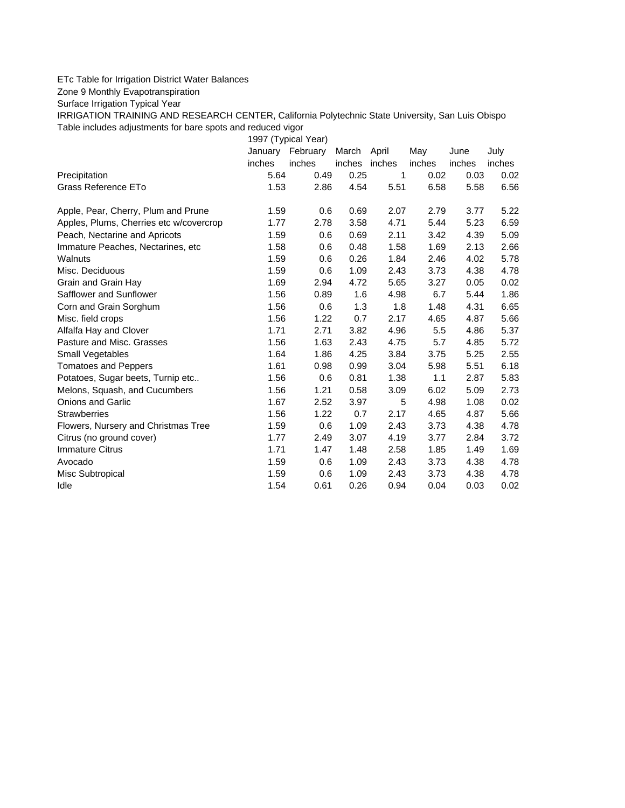## ETc Table for Irrigation District Water Balances

Zone 9 Monthly Evapotranspiration

Surface Irrigation Typical Year

IRRIGATION TRAINING AND RESEARCH CENTER, California Polytechnic State University, San Luis Obispo Table includes adjustments for bare spots and reduced vigor

1997 (Typical Year) January February March April May June July inches inches inches inches inches inches inches Precipitation 5.64 0.49 0.25 1 0.02 0.03 0.02 Grass Reference ETo **1.53** 1.53 2.86 4.54 5.51 6.58 5.58 6.56 Apple, Pear, Cherry, Plum and Prune  $1.59$  0.6 0.69 2.07 2.79 3.77 5.22 Apples, Plums, Cherries etc w/covercrop 1.77 2.78 3.58 4.71 5.44 5.23 6.59 Peach, Nectarine and Apricots 1.59 0.6 0.69 2.11 3.42 4.39 5.09 Immature Peaches, Nectarines, etc 1.58 0.6 0.48 1.58 1.69 2.13 2.66 Walnuts 1.59 0.6 0.26 1.84 2.46 4.02 5.78 Misc. Deciduous 1.59 0.6 1.09 2.43 3.73 4.38 4.78 Grain and Grain Hay 1.69 2.94 4.72 5.65 3.27 0.05 0.02 Safflower and Sunflower 1.56 0.89 1.6 4.98 6.7 5.44 1.86 Corn and Grain Sorghum 1.56 0.6 1.3 1.8 1.48 4.31 6.65 Misc. field crops 1.56 1.22 0.7 2.17 4.65 4.87 5.66 Alfalfa Hay and Clover 1.71 2.71 3.82 4.96 5.5 4.86 5.37 Pasture and Misc. Grasses 1.56 1.63 2.43 4.75 5.7 4.85 5.72 Small Vegetables 1.64 1.86 4.25 3.84 3.75 5.25 2.55 Tomatoes and Peppers 1.61 0.98 0.99 3.04 5.98 5.51 6.18 Potatoes, Sugar beets, Turnip etc.. <br>1.56 0.6 0.81 1.38 1.1 2.87 5.83 Melons, Squash, and Cucumbers 1.56 1.21 0.58 3.09 6.02 5.09 2.73 Onions and Garlic 1.67 2.52 3.97 5 4.98 1.08 0.02 Strawberries 1.56 1.22 0.7 2.17 4.65 4.87 5.66 Flowers, Nursery and Christmas Tree 1.59 0.6 1.09 2.43 3.73 4.38 4.78 Citrus (no ground cover) 1.77 2.49 3.07 4.19 3.77 2.84 3.72 Immature Citrus 1.47 1.47 1.47 1.48 2.58 1.85 1.49 1.69 Avocado 1.59 0.6 1.09 2.43 3.73 4.38 4.78 Misc Subtropical 1.59 0.6 1.09 2.43 3.73 4.38 4.78 Idle 1.54 0.61 0.26 0.94 0.04 0.03 0.02